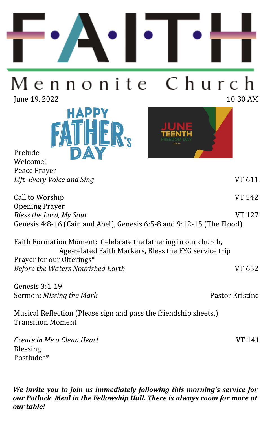

## Church Mennonite

Iune 19, 2022 10:30 AM

Prelude





| Lift Every Voice and Sing                                                                                               | VT 611        |
|-------------------------------------------------------------------------------------------------------------------------|---------------|
| Call to Worship                                                                                                         | <b>VT 542</b> |
| <b>Opening Prayer</b>                                                                                                   |               |
| Bless the Lord, My Soul                                                                                                 | VT 127        |
| Genesis 4:8-16 (Cain and Abel), Genesis 6:5-8 and 9:12-15 (The Flood)                                                   |               |
| Faith Formation Moment: Celebrate the fathering in our church,<br>Age-related Faith Markers, Bless the FYG service trip |               |
| Prayer for our Offerings*                                                                                               |               |
| <b>Before the Waters Nourished Earth</b>                                                                                | VT 652        |

Genesis 3:1-19 Sermon: *Missing the Mark* **Pastor Kristine** 

Musical Reflection (Please sign and pass the friendship sheets.) Transition Moment

*Create in Me a Clean Heart* VT 141 Blessing Postlude\*\*

*We invite you to join us immediately following this morning's service for our Potluck Meal in the Fellowship Hall. There is always room for more at our table!*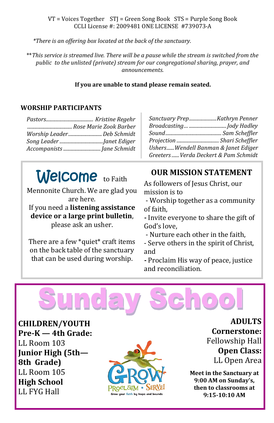#### VT = Voices Together STJ = Green Song Book STS = Purple Song Book CCLI License #: 2009481 ONE LICENSE #739073-A

*\*There is an offering box located at the back of the sanctuary.* 

\*\**This service is streamed live. There will be a pause while the stream is switched from the public to the unlisted (private) stream for our congregational sharing, prayer, and announcements.* 

#### **If you are unable to stand please remain seated.**

#### **WORSHIP PARTICIPANTS**

| Worship LeaderDeb Schmidt |
|---------------------------|
|                           |
|                           |

| Sanctuary PrepKathryn Penner          |  |
|---------------------------------------|--|
|                                       |  |
|                                       |  |
| Projection  Shari Scheffler           |  |
| UshersWendell Banman & Janet Ediger   |  |
| Greeters  Verda Deckert & Pam Schmidt |  |

# Welcome to Faith

Mennonite Church. We are glad you are here. If you need a **listening assistance device or a large print bulletin**, please ask an usher.

There are a few \*quiet\* craft items on the back table of the sanctuary that can be used during worship.

## **OUR MISSION STATEMENT**

As followers of Jesus Christ, our mission is to

- Worship together as a community of faith,

**-** Invite everyone to share the gift of God's love,

- Nurture each other in the faith,
- Serve others in the spirit of Christ, and

**-** Proclaim His way of peace, justice and reconciliation.



**CHILDREN/YOUTH Pre-K — 4th Grade:**  LL Room 103 **Junior High (5th— 8th Grade)** LL Room 105 **High School**  LL FYG Hall



**ADULTS Cornerstone:**  Fellowship Hall **Open Class:** LL Open Area

**Meet in the Sanctuary at 9:00 AM on Sunday's, then to classrooms at 9:15-10:10 AM**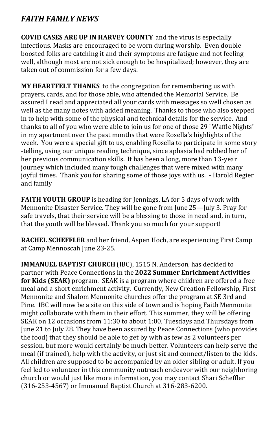## *FAITH FAMILY NEWS*

**COVID CASES ARE UP IN HARVEY COUNTY** and the virus is especially infectious. Masks are encouraged to be worn during worship. Even double boosted folks are catching it and their symptoms are fatigue and not feeling well, although most are not sick enough to be hospitalized; however, they are taken out of commission for a few days.

**MY HEARTFELT THANKS** to the congregation for remembering us with prayers, cards, and for those able, who attended the Memorial Service. Be assured I read and appreciated all your cards with messages so well chosen as well as the many notes with added meaning. Thanks to those who also stepped in to help with some of the physical and technical details for the service. And thanks to all of you who were able to join us for one of those 29 "Waffle Nights" in my apartment over the past months that were Rosella's highlights of the week. You were a special gift to us, enabling Rosella to participate in some story -telling, using our unique reading technique, since aphasia had robbed her of her previous communication skills. It has been a long, more than 13-year journey which included many tough challenges that were mixed with many joyful times. Thank you for sharing some of those joys with us. - Harold Regier and family

**FAITH YOUTH GROUP** is heading for Jennings, LA for 5 days of work with Mennonite Disaster Service. They will be gone from June 25—July 3. Pray for safe travels, that their service will be a blessing to those in need and, in turn, that the youth will be blessed. Thank you so much for your support!

**RACHEL SCHEFFLER** and her friend, Aspen Hoch, are experiencing First Camp at Camp Mennoscah June 23-25.

**IMMANUEL BAPTIST CHURCH** (IBC), 1515 N. Anderson, has decided to partner with Peace Connections in the **2022 Summer Enrichment Activities for Kids (SEAK)** program. SEAK is a program where children are offered a free meal and a short enrichment activity. Currently, New Creation Fellowship, First Mennonite and Shalom Mennonite churches offer the program at SE 3rd and Pine. IBC will now be a site on this side of town and is hoping Faith Mennonite might collaborate with them in their effort. This summer, they will be offering SEAK on 12 occasions from 11:30 to about 1:00, Tuesdays and Thursdays from June 21 to July 28. They have been assured by Peace Connections (who provides the food) that they should be able to get by with as few as 2 volunteers per session, but more would certainly be much better. Volunteers can help serve the meal (if trained), help with the activity, or just sit and connect/listen to the kids. All children are supposed to be accompanied by an older sibling or adult. If you feel led to volunteer in this community outreach endeavor with our neighboring church or would just like more information, you may contact Shari Scheffler (316-253-4567) or Immanuel Baptist Church at 316-283-6200.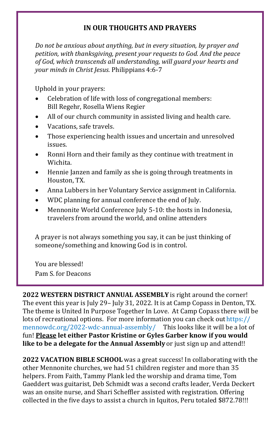## **IN OUR THOUGHTS AND PRAYERS**

*Do not be anxious about anything, but in every situation, by prayer and petition, with thanksgiving, present your requests to God. And the peace of God, which transcends all understanding, will guard your hearts and your minds in Christ Jesus.* Philippians 4:6-7

Uphold in your prayers:

- Celebration of life with loss of congregational members: Bill Regehr, Rosella Wiens Regier
- All of our church community in assisted living and health care.
- Vacations, safe travels.
- Those experiencing health issues and uncertain and unresolved issues.
- Ronni Horn and their family as they continue with treatment in Wichita.
- Hennie Janzen and family as she is going through treatments in Houston, TX.
- Anna Lubbers in her Voluntary Service assignment in California.
- WDC planning for annual conference the end of July.
- Mennonite World Conference July 5-10: the hosts in Indonesia, travelers from around the world, and online attenders

A prayer is not always something you say, it can be just thinking of someone/something and knowing God is in control.

You are blessed! Pam S. for Deacons

**2022 WESTERN DISTRICT ANNUAL ASSEMBLY** is right around the corner! The event this year is July 29– July 31, 2022. It is at Camp Copass in Denton, TX. The theme is United In Purpose Together In Love. At Camp Copass there will be lots of recreational options. For more information you can check out https:// mennowdc.org/2022-wdc-annual-assembly/ This looks like it will be a lot of fun! **Please let either Pastor Kristine or Gyles Garber know if you would like to be a delegate for the Annual Assembly** or just sign up and attend!!

**2022 VACATION BIBLE SCHOOL** was a great success! In collaborating with the other Mennonite churches, we had 51 children register and more than 35 helpers. From Faith, Tammy Plank led the worship and drama time, Tom Gaeddert was guitarist, Deb Schmidt was a second crafts leader, Verda Deckert was an onsite nurse, and Shari Scheffler assisted with registration. Offering collected in the five days to assist a church in Iquitos, Peru totaled \$872.78!!!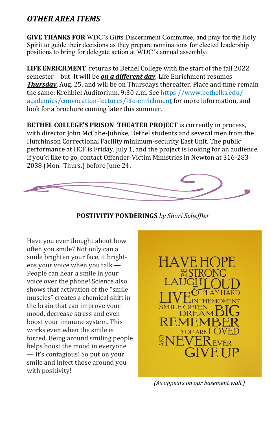## *OTHER AREA ITEMS*

**GIVE THANKS FOR** WDC's Gifts Discernment Committee, and pray for the Holy Spirit to guide their decisions as they prepare nominations for elected leadership positions to bring for delegate action at WDC's annual assembly.

**LIFE ENRICHMENT** returns to Bethel College with the start of the fall 2022 semester – but It will be *on a different day*. Life Enrichment resumes *Thursday*, Aug. 25, and will be on Thursdays thereafter. Place and time remain the same: Krehbiel Auditorium, 9:30 a.m. See [https://www.bethelks.edu/](https://www.bethelks.edu/academics/convocation-lectures/life-enrichment) [academics/convocation](https://www.bethelks.edu/academics/convocation-lectures/life-enrichment)-lectures/life-enrichment for more information, and look for a brochure coming later this summer.

**BETHEL COLLEGE'S PRISON THEATER PROJECT** is currently in process, with director John McCabe-Juhnke, Bethel students and several men from the Hutchinson Correctional Facility minimum-security East Unit. The public performance at HCF is Friday, July 1, and the project is looking for an audience. If you'd like to go, contact Offender-Victim Ministries in Newton at 316-283- 2038 (Mon.-Thurs.) before June 24.



**POSTIVITIY PONDERINGS** *by Shari Scheffler*

Have you ever thought about how often you smile? Not only can a smile brighten your face, it brightens your voice when you talk — People can hear a smile in your voice over the phone! Science also shows that activation of the "smile muscles" creates a chemical shift in the brain that can improve your mood, decrease stress and even boost your immune system. This works even when the smile is forced. Being around smiling people helps boost the mood in everyone — It's contagious! So put on your smile and infect those around you with positivity!



*(As appears on our basement wall.)*